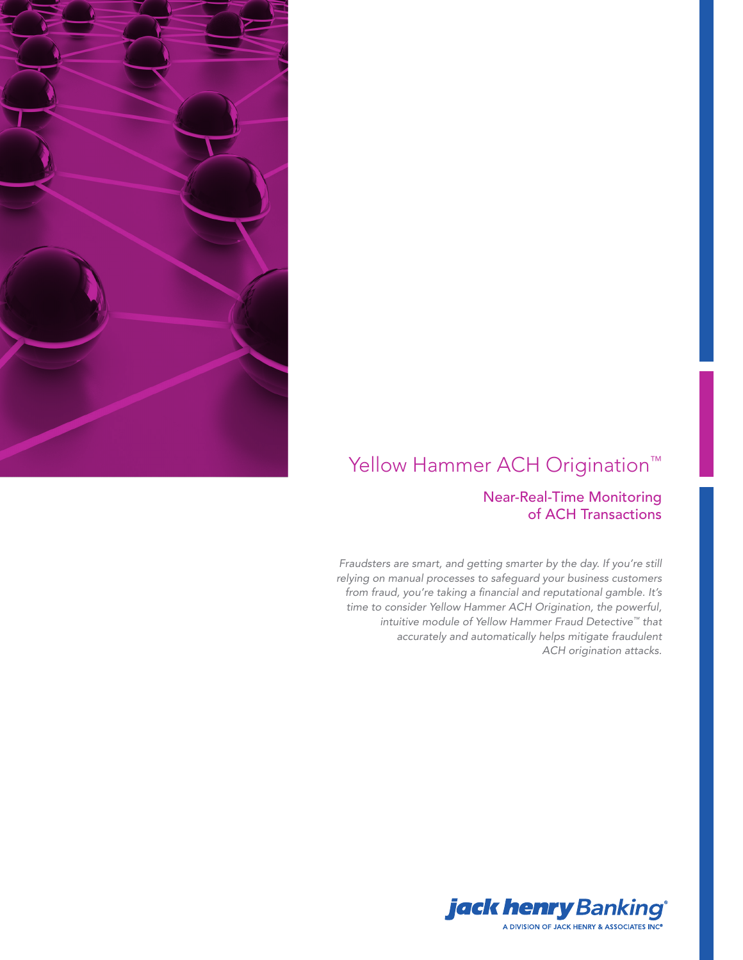

# Yellow Hammer ACH Origination<sup>™</sup>

# Near-Real-Time Monitoring of ACH Transactions

*Fraudsters are smart, and getting smarter by the day. If you're still relying on manual processes to safeguard your business customers from fraud, you're taking a financial and reputational gamble. It's time to consider Yellow Hammer ACH Origination, the powerful, intuitive module of Yellow Hammer Fraud Detective™ that accurately and automatically helps mitigate fraudulent ACH origination attacks.* 

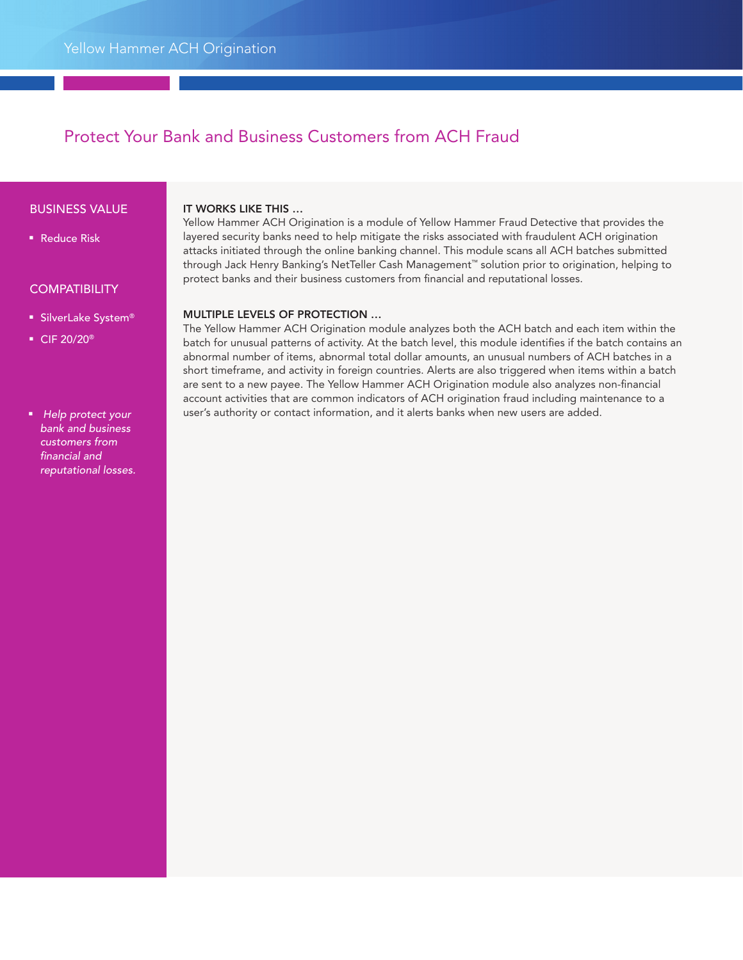# Protect Your Bank and Business Customers from ACH Fraud

#### BUSINESS VALUE

■ Reduce Risk

## **COMPATIBILITY**

- SilverLake System®
- CIF 20/20<sup>®</sup>

#### ■ *Help protect your bank and business customers from financial and reputational losses.*

#### IT WORKS LIKE THIS …

Yellow Hammer ACH Origination is a module of Yellow Hammer Fraud Detective that provides the layered security banks need to help mitigate the risks associated with fraudulent ACH origination attacks initiated through the online banking channel. This module scans all ACH batches submitted through Jack Henry Banking's NetTeller Cash Management™ solution prior to origination, helping to protect banks and their business customers from financial and reputational losses.

## MULTIPLE LEVELS OF PROTECTION …

The Yellow Hammer ACH Origination module analyzes both the ACH batch and each item within the batch for unusual patterns of activity. At the batch level, this module identifies if the batch contains an abnormal number of items, abnormal total dollar amounts, an unusual numbers of ACH batches in a short timeframe, and activity in foreign countries. Alerts are also triggered when items within a batch are sent to a new payee. The Yellow Hammer ACH Origination module also analyzes non-financial account activities that are common indicators of ACH origination fraud including maintenance to a user's authority or contact information, and it alerts banks when new users are added.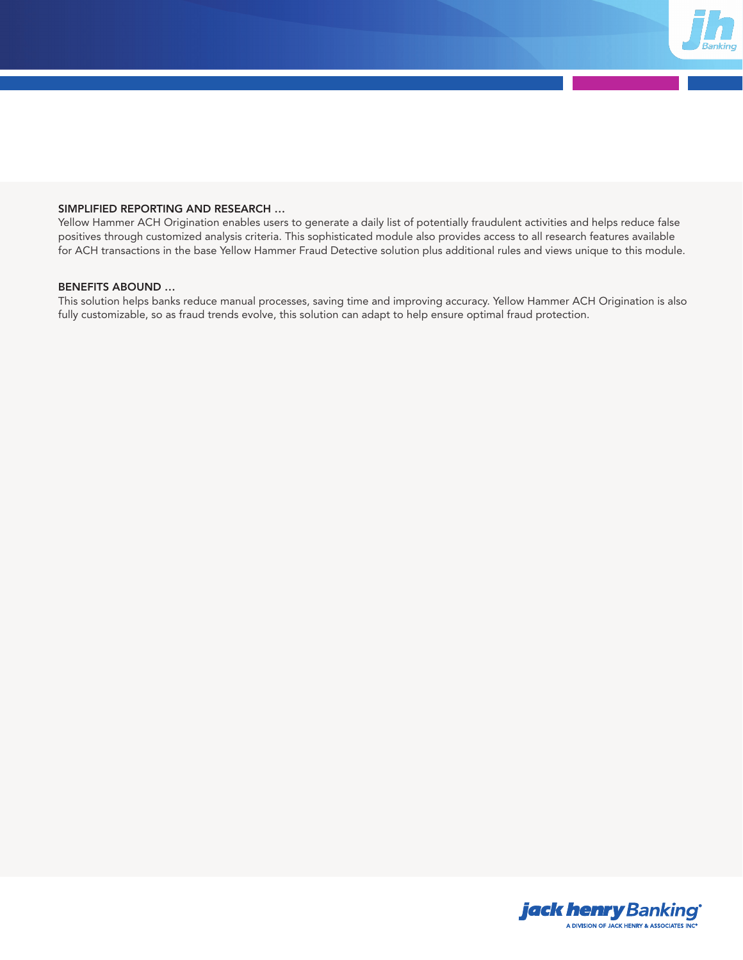

#### SIMPLIFIED REPORTING AND RESEARCH …

Yellow Hammer ACH Origination enables users to generate a daily list of potentially fraudulent activities and helps reduce false positives through customized analysis criteria. This sophisticated module also provides access to all research features available for ACH transactions in the base Yellow Hammer Fraud Detective solution plus additional rules and views unique to this module.

### BENEFITS ABOUND …

This solution helps banks reduce manual processes, saving time and improving accuracy. Yellow Hammer ACH Origination is also fully customizable, so as fraud trends evolve, this solution can adapt to help ensure optimal fraud protection.